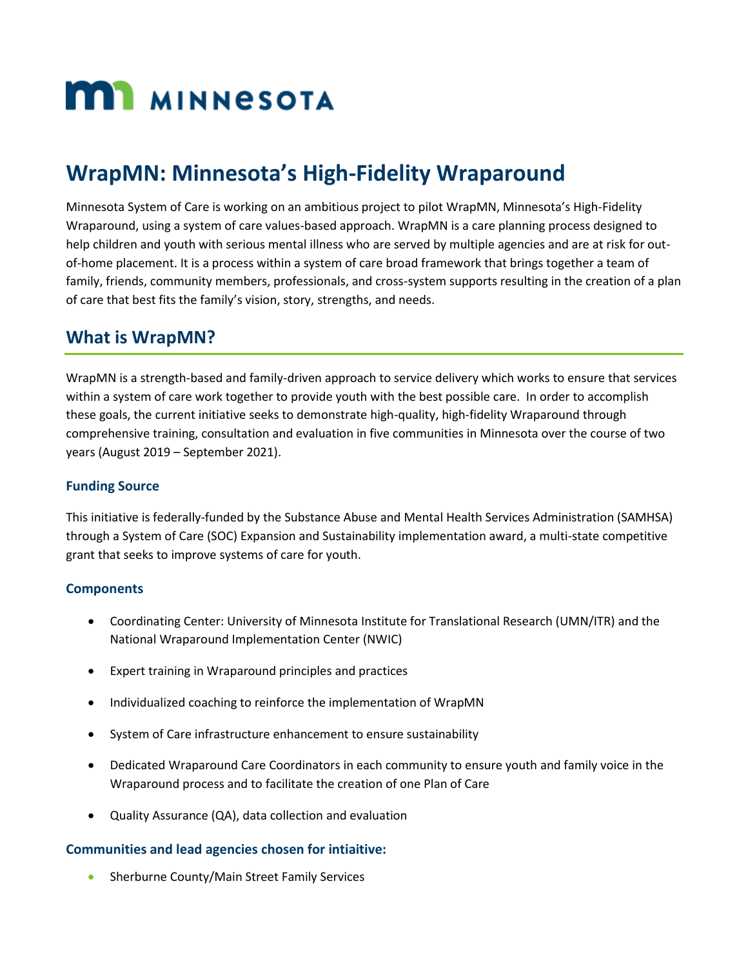# **MI MINNESOTA**

# **WrapMN: Minnesota's High-Fidelity Wraparound**

Minnesota System of Care is working on an ambitious project to pilot WrapMN, Minnesota's High-Fidelity Wraparound, using a system of care values-based approach. WrapMN is a care planning process designed to help children and youth with serious mental illness who are served by multiple agencies and are at risk for outof-home placement. It is a process within a system of care broad framework that brings together a team of family, friends, community members, professionals, and cross-system supports resulting in the creation of a plan of care that best fits the family's vision, story, strengths, and needs.

## **What is WrapMN?**

WrapMN is a strength-based and family-driven approach to service delivery which works to ensure that services within a system of care work together to provide youth with the best possible care. In order to accomplish these goals, the current initiative seeks to demonstrate high-quality, high-fidelity Wraparound through comprehensive training, consultation and evaluation in five communities in Minnesota over the course of two years (August 2019 – September 2021).

#### **Funding Source**

This initiative is federally-funded by the Substance Abuse and Mental Health Services Administration (SAMHSA) through a System of Care (SOC) Expansion and Sustainability implementation award, a multi-state competitive grant that seeks to improve systems of care for youth.

#### **Components**

- Coordinating Center: University of Minnesota Institute for Translational Research (UMN/ITR) and the National Wraparound Implementation Center (NWIC)
- Expert training in Wraparound principles and practices
- Individualized coaching to reinforce the implementation of WrapMN
- System of Care infrastructure enhancement to ensure sustainability
- Dedicated Wraparound Care Coordinators in each community to ensure youth and family voice in the Wraparound process and to facilitate the creation of one Plan of Care
- Quality Assurance (QA), data collection and evaluation

#### **Communities and lead agencies chosen for intiaitive:**

Sherburne County/Main Street Family Services